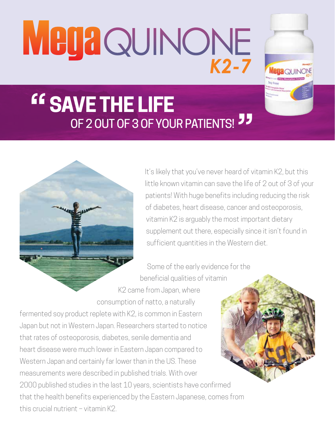**MegaQUINONE** 



## **SAVE THE LIFE** OF 2 OUT OF 3 OF YOUR PATIENTS! "



It's likely that you've never heard of vitamin K2, but this little known vitamin can save the life of 2 out of 3 of your patients! With huge benefits including reducing the risk of diabetes, heart disease, cancer and osteoporosis, vitamin K2 is arguably the most important dietary supplement out there, especially since it isn't found in sufficient quantities in the Western diet.

Some of the early evidence for the beneficial qualities of vitamin K2 came from Japan, where consumption of natto, a naturally

fermented soy product replete with K2, is common in Eastern Japan but not in Western Japan. Researchers started to notice that rates of osteoporosis, diabetes, senile dementia and heart disease were much lower in Eastern Japan compared to Western Japan and certainly far lower than in the US. These measurements were described in published trials. With over 2000 published studies in the last 10 years, scientists have confirmed that the health benefits experienced by the Eastern Japanese, comes from this crucial nutrient – vitamin K2.

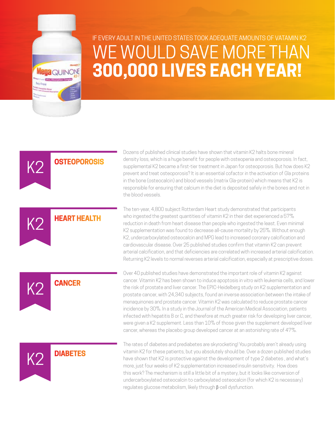

K2

K2

K2

K2

## IF EVERY ADULT IN THE UNITED STATES TOOK ADEQUATE AMOUNTS OF VATAMIN K2 WE WOULD SAVE MORE THAN **300,000 LIVES EACH YEAR!**

**OSTEOPOROSIS**

**HEART HEALTH**

Dozens of published clinical studies have shown that vitamin K2 halts bone mineral density loss, which is a huge benefit for people with osteopenia and osteoporosis. In fact, supplemental K2 became a first-tier treatment in Japan for osteoporosis. But how does K2 prevent and treat osteoporosis? It is an essential cofactor in the activation of Gla proteins in the bone (osteocalcin) and blood vessels (matrix Gla-protein) which means that K2 is responsible for ensuring that calcium in the diet is deposited safely in the bones and not in the blood vessels.

The ten-year, 4,800 subject Rotterdam Heart study demonstrated that participants who ingested the greatest quantities of vitamin K2 in their diet experienced a 57% reduction in death from heart disease than people who ingested the least. Even minimal K2 supplementation was found to decrease all-cause mortality by 25%. Without enough K2, undercarboxylated osteocalcin and MPG lead to increased coronary calcification and cardiovascular disease. Over 25 published studies confirm that vitamin K2 can prevent arterial calcification, and that deficiencies are correlated with increased arterial calcification. Returning K2 levels to normal reverses arterial calcification, especially at prescriptive doses.

Over 40 published studies have demonstrated the important role of vitamin K2 against cancer. Vitamin K2 has been shown to induce apoptosis in vitro with leukemia cells, and lower the risk of prostate and liver cancer. The EPIC-Heidelberg study on K2 supplementation and prostate cancer, with 24,340 subjects, found an inverse association between the intake of menaquinones and prostate cancer. Vitamin K2 was calculated to reduce prostate cancer incidence by 30%. In a study in the Journal of the American Medical Association, patients infected with hepatitis B or C, and therefore at much greater risk for developing liver cancer, were given a K2 supplement. Less than 10% of those given the supplement developed liver cancer, whereas the placebo group developed cancer at an astonishing rate of 47%.

The rates of diabetes and prediabetes are skyrocketing! You probably aren't already using vitamin K2 for these patients, but you absolutely should be. Over a dozen published studies have shown that K2 is protective against the development of type 2 diabetes , and what's more, just four weeks of K2 supplementation increased insulin sensitivity. How does this work? The mechanism is still a little bit of a mystery, but it looks like conversion of undercarboxylated osteocalcin to carboxylated osteocalcin (for which K2 is necessary) regulates glucose metabolism, likely through β-cell dysfunction.

**DIABETES**

**CANCER**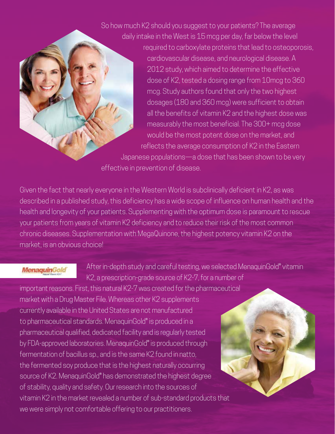So how much K2 should you suggest to your patients? The average daily intake in the West is 15 mcg per day, far below the level

required to carboxylate proteins that lead to osteoporosis, cardiovascular disease, and neurological disease. A 2012 study, which aimed to determine the effective dose of K2, tested a dosing range from 10mcg to 360 mcg. Study authors found that only the two highest dosages (180 and 360 mcg) were sufficient to obtain all the benefits of vitamin K2 and the highest dose was measurably the most beneficial. The 300+ mcg dose would be the most potent dose on the market, and reflects the average consumption of K2 in the Eastern Japanese populations—a dose that has been shown to be very effective in prevention of disease.

Given the fact that nearly everyone in the Western World is subclinically deficient in K2, as was described in a published study, this deficiency has a wide scope of influence on human health and the health and longevity of your patients. Supplementing with the optimum dose is paramount to rescue your patients from years of vitamin K2 deficiency and to reduce their risk of the most common chronic diseases. Supplementation with MegaQuinone, the highest potency vitamin K2 on the market, is an obvious choice!

## **MenaquinGold**

After in-depth study and careful testing, we selected MenaquinGold® vitamin K2, a prescription-grade source of K2-7, for a number of

important reasons. First, this natural K2-7 was created for the pharmaceutical market with a Drug Master File. Whereas other K2 supplements currently available in the United States are not manufactured to pharmaceutical standards. MenaquinGold® is produced in a pharmaceutical qualified, dedicated facility and is regularly tested by FDA-approved laboratories. MenaquinGold® is produced through fermentation of bacillus sp., and is the same K2 found in natto, the fermented soy produce that is the highest naturally occurring source of K2. MenaquinGold® has demonstrated the highest degree of stability, quality and safety. Our research into the sources of vitamin K2 in the market revealed a number of sub-standard products that we were simply not comfortable offering to our practitioners.